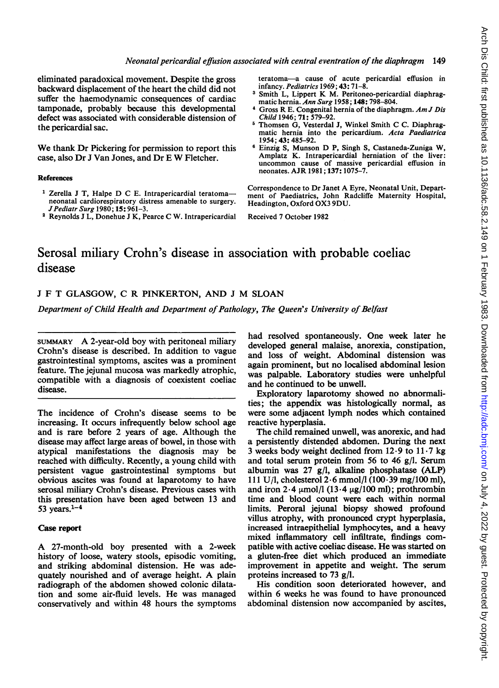## Neonatal pericardial effusion associated with central eventration of the diaphragm 149

eliminated paradoxical movement. Despite the gross backward displacement of the heart the child did not suffer the haemodynamic consequences of cardiac tamponade, probably because this developmental defect was associated with considerable distension of the pericardial sac.

We thank Dr Pickering for permission to report this case, also Dr <sup>J</sup> Van Jones, and Dr <sup>E</sup> W Fletcher.

#### References

- <sup>1</sup> Zerella J T, Halpe D C E. Intrapericardial teratomaneonatal cardiorespiratory distress amenable to surgery. JPediatr Surg 1980; 15: 961-3.
- <sup>2</sup> Reynolds <sup>J</sup> L, Donehue <sup>J</sup> K, Pearce C W. Intrapericardial

teratoma-a cause of acute pericardial effusion in infancy. Pediatrics 1969; 43: 71-8.

- <sup>3</sup> Smith L, Lippert K M. Peritoneo-pericardial diaphragmatic hernia. Ann Surg 1958; 148: 798-804.
- Gross R E. Congenital hernia of the diaphragm. Am J Dis Child 1946; 71: 579-92.
- <sup>5</sup> Thomsen G, Vesterdal J, Winkel Smith C C. Diaphragmatic hernia into the pericardium. Acta Paediatrica 1954; 43: 485-92.
- <sup>6</sup> Einzig S, Munson D P, Singh S, Castaneda-Zuniga W, Amplatz K. Intrapericardial herniation of the liver: uncommon cause of massive pericardial effusion in neonates. AJR 1981; 137: 1075-7.

Correspondence to Dr Janet A Eyre, Neonatal Unit, Department of Paediatrics, John Radcliffe Maternity Hospital, Headington, Oxford OX3 9DU.

Received 7 October 1982

# Serosal miliary Crohn's disease in association with probable coeliac disease

## <sup>J</sup> F T GLASGOW, C R PINKERTON, AND <sup>J</sup> M SLOAN

Department of Child Health and Department of Pathology, The Queen's University of Belfast

SUMMARY A 2-year-old boy with peritoneal miliary Crohn's disease is described. In addition to vague gastrointestinal symptoms, ascites was a prominent feature. The jejunal mucosa was markedly atrophic, compatible with a diagnosis of coexistent coeliac disease.

The incidence of Crohn's disease seems to be increasing. It occurs infrequently below school age and is rare before 2 years of age. Although the disease may affect large areas of bowel, in those with atypical manifestations the diagnosis may be reached with difficulty. Recently, a young child with persistent vague gastrointestinal symptoms but obvious ascites was found at laparotomy to have serosal miliary Crohn's disease. Previous cases with this presentation have been aged between 13 and 53 years. $1-4$ 

## Case report

A 27-month-old boy presented with <sup>a</sup> 2-week history of loose, watery stools, episodic vomiting, and striking abdominal distension. He was adequately nourished and of average height. A plain radiograph of the abdomen showed colonic dilatation and some air-fluid levels. He was managed conservatively and within 48 hours the symptoms had resolved spontaneously. One week later he developed general malaise, anorexia, constipation, and loss of weight. Abdominal distension was again prominent, but no localised abdominal lesion was palpable. Laboratory studies were unhelpful and he continued to be unwell.

Exploratory laparotomy showed no abnormalities; the appendix was histologically normal, as were some adjacent lymph nodes which contained reactive hyperplasia.

The child remained unwell, was anorexic, and had a persistently distended abdomen. During the next 3 weeks body weight declined from  $12.9$  to  $11.7$  kg and total serum protein from 56 to 46 g/l. Serum albumin was 27 g/l, alkaline phosphatase (ALP) 111 U/l, cholesterol  $2.6$  mmol/l (100 $.39$  mg/100 ml), and iron  $2.4 \mu$ mol/l (13.4  $\mu$ g/100 ml); prothrombin time and blood count were each within normal limits. Peroral jejunal biopsy showed profound villus atrophy, with pronounced crypt hyperplasia, increased intraepithelial lymphocytes, and a heavy mixed inflammatory cell infiltrate, findings compatible with active coeliac disease. He was started on a gluten-free diet which produced an immediate improvement in appetite and weight. The serum proteins increased to 73 g/l.

His condition soon deteriorated however, and within 6 weeks he was found to have pronounced abdominal distension now accompanied by ascites,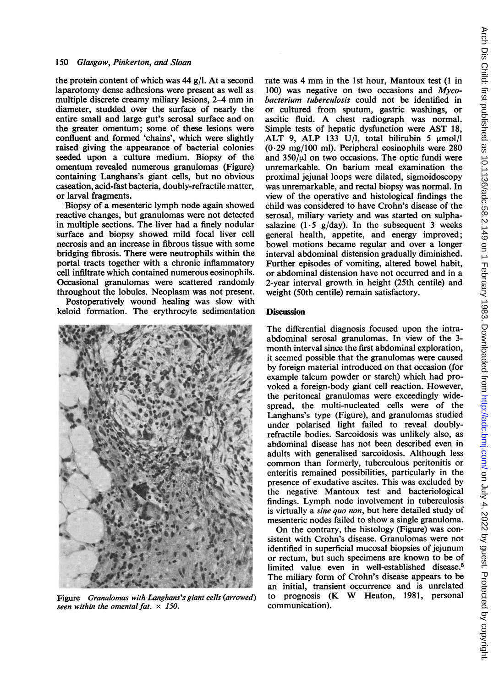#### 150 Glasgow, Pinkerton, and Sloan

the protein content of which was 44 g/l. At a second laparotomy dense adhesions were present as well as multiple discrete creamy miliary lesions, 2-4 mm in diameter, studded over the surface of nearly the entire small and large gut's serosal surface and on the greater omentum; some of these lesions were confluent and formed 'chains', which were slightly raised giving the appearance of bacterial colonies seeded upon a culture medium. Biopsy of the omentum revealed numerous granulomas (Figure) containing Langhans's giant cells, but no obvious caseation, acid-fast bacteria, doubly-refractile matter, or larval fragments.

Biopsy of a mesenteric lymph node again showed reactive changes, but granulomas were not detected in multiple sections. The liver had a finely nodular surface and biopsy showed mild focal liver cell necrosis and an increase in fibrous tissue with some bridging fibrosis. There were neutrophils within the portal tracts together with a chronic inflammatory cell infiltrate which contained numerous eosinophils. Occasional granulomas were scattered randomly throughout the lobules. Neoplasm was not present. Postoperatively wound healing was slow with

keloid formation. The erythrocyte sedimentation



Figure Granulomas with Langhans's giant cells (arrowed) seen within the omental fat.  $\times$  150.

rate was <sup>4</sup> mm in the 1st hour, Mantoux test (1 in 100) was negative on two occasions and  $Myco$ bacterium tuberculosis could not be identified in or cultured from sputum, gastric washings, or ascitic fluid. A chest radiograph was normal. Simple tests of hepatic dysfunction were AST 18, ALT 9, ALP 133 U/l, total bilirubin 5  $\mu$ mol/l (0-29 mg/100 ml). Peripheral eosinophils were 280 and  $350/\mu$ l on two occasions. The optic fundi were unremarkable. On barium meal examination the proximal jejunal loops were dilated, sigmoidoscopy was unremarkable, and rectal biopsy was normal. In view of the operative and histological findings the child was considered to have Crohn's disease of the serosal, miliary variety and was started on sulphasalazine (1-5 g/day). In the subsequent 3 weeks general health, appetite, and energy improved; bowel motions became regular and over a longer interval abdominal distension gradually diminished. Further episodes of vomiting, altered bowel habit, or abdominal distension have not occurred and in a 2-year interval growth in height (25th centile) and weight (50th centile) remain satisfactory.

#### **Discussion**

The differential diagnosis focused upon the intraabdominal serosal granulomas. In view of the 3 month interval since the first abdominal exploration, it seemed possible that the granulomas were caused by foreign material introduced on that occasion (for example talcum powder or starch) which had provoked a foreign-body giant cell reaction. However, the peritoneal granulomas were exceedingly widespread, the multi-nucleated cells were of the Langhans's type (Figure), and granulomas studied under polarised light failed to reveal doublyrefractile bodies. Sarcoidosis was unlikely also, as abdominal disease has not been described even in adults with generalised sarcoidosis. Although less common than formerly, tuberculous peritonitis or enteritis remained possibilities, particularly in the presence of exudative ascites. This was excluded by the negative Mantoux test and bacteriological findings. Lymph node involvement in tuberculosis is virtually a sine quo non, but here detailed study of mesenteric nodes failed to show a single granuloma.

On the contrary, the histology (Figure) was consistent with Crohn's disease. Granulomas were not identified in superficial mucosal biopsies of jejunum or rectum, but such specimens are known to be of limited value even in well-established disease.<sup>5</sup> The miliary form of Crohn's disease appears to be an initial, transient occurrence and is unrelated to prognosis (K W Heaton, 1981, personal communication).